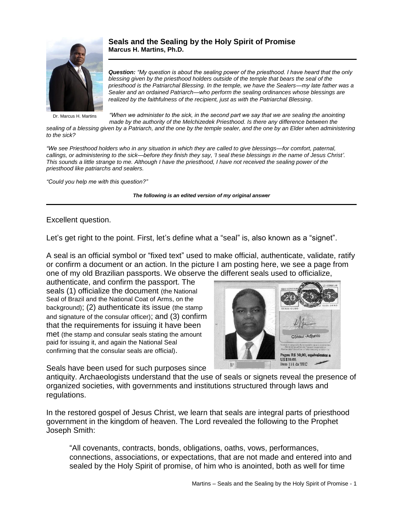

Dr. Marcus H. Martins

**Seals and the Sealing by the Holy Spirit of Promise Marcus H. Martins, Ph.D.**

*Question: "My question is about the sealing power of the priesthood. I have heard that the only blessing given by the priesthood holders outside of the temple that bears the seal of the priesthood is the Patriarchal Blessing. In the temple, we have the Sealers—my late father was a Sealer and an ordained Patriarch—who perform the sealing ordinances whose blessings are realized by the faithfulness of the recipient, just as with the Patriarchal Blessing*.

*"When we administer to the sick, in the second part we say that we are sealing the anointing made by the authority of the Melchizedek Priesthood. Is there any difference between the* 

*sealing of a blessing given by a Patriarch, and the one by the temple sealer, and the one by an Elder when administering to the sick?*

*"We see Priesthood holders who in any situation in which they are called to give blessings—for comfort, paternal, callings, or administering to the sick—before they finish they say, 'I seal these blessings in the name of Jesus Christ'. This sounds a little strange to me. Although I have the priesthood, I have not received the sealing power of the priesthood like patriarchs and sealers.*

*"Could you help me with this question?"*

*The following is an edited version of my original answer*

## Excellent question.

Let's get right to the point. First, let's define what a "seal" is, also known as a "signet".

A seal is an official symbol or "fixed text" used to make official, authenticate, validate, ratify or confirm a document or an action. In the picture I am posting here, we see a page from one of my old Brazilian passports. We observe the different seals used to officialize,

authenticate, and confirm the passport. The seals (1) officialize the document (the National Seal of Brazil and the National Coat of Arms, on the background); (2) authenticate its issue (the stamp and signature of the consular officer); and (3) confirm that the requirements for issuing it have been met (the stamp and consular seals stating the amount paid for issuing it, and again the National Seal confirming that the consular seals are official).



Seals have been used for such purposes since

antiquity. Archaeologists understand that the use of seals or signets reveal the presence of organized societies, with governments and institutions structured through laws and regulations.

In the restored gospel of Jesus Christ, we learn that seals are integral parts of priesthood government in the kingdom of heaven. The Lord revealed the following to the Prophet Joseph Smith:

"All covenants, contracts, bonds, obligations, oaths, vows, performances, connections, associations, or expectations, that are not made and entered into and sealed by the Holy Spirit of promise, of him who is anointed, both as well for time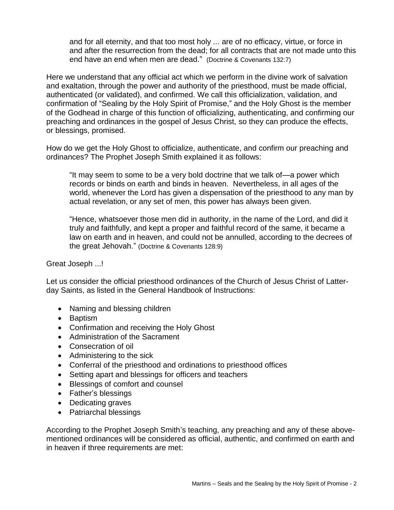and for all eternity, and that too most holy ... are of no efficacy, virtue, or force in and after the resurrection from the dead; for all contracts that are not made unto this end have an end when men are dead." (Doctrine & Covenants 132:7)

Here we understand that any official act which we perform in the divine work of salvation and exaltation, through the power and authority of the priesthood, must be made official, authenticated (or validated), and confirmed. We call this officialization, validation, and confirmation of "Sealing by the Holy Spirit of Promise," and the Holy Ghost is the member of the Godhead in charge of this function of officializing, authenticating, and confirming our preaching and ordinances in the gospel of Jesus Christ, so they can produce the effects, or blessings, promised.

How do we get the Holy Ghost to officialize, authenticate, and confirm our preaching and ordinances? The Prophet Joseph Smith explained it as follows:

"It may seem to some to be a very bold doctrine that we talk of—a power which records or binds on earth and binds in heaven. Nevertheless, in all ages of the world, whenever the Lord has given a dispensation of the priesthood to any man by actual revelation, or any set of men, this power has always been given.

"Hence, whatsoever those men did in authority, in the name of the Lord, and did it truly and faithfully, and kept a proper and faithful record of the same, it became a law on earth and in heaven, and could not be annulled, according to the decrees of the great Jehovah." (Doctrine & Covenants 128:9)

Great Joseph ...!

Let us consider the official priesthood ordinances of the Church of Jesus Christ of Latterday Saints, as listed in the General Handbook of Instructions:

- Naming and blessing children
- Baptism
- Confirmation and receiving the Holy Ghost
- Administration of the Sacrament
- Consecration of oil
- Administering to the sick
- Conferral of the priesthood and ordinations to priesthood offices
- Setting apart and blessings for officers and teachers
- Blessings of comfort and counsel
- Father's blessings
- Dedicating graves
- Patriarchal blessings

According to the Prophet Joseph Smith's teaching, any preaching and any of these abovementioned ordinances will be considered as official, authentic, and confirmed on earth and in heaven if three requirements are met: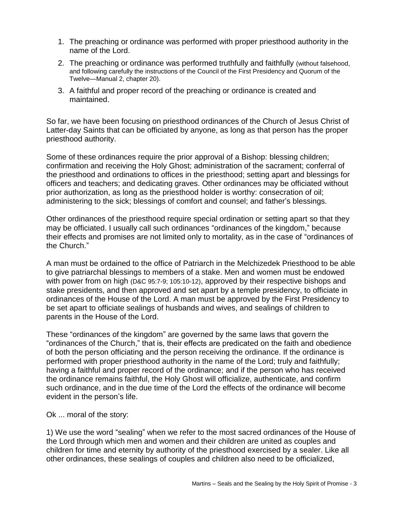- 1. The preaching or ordinance was performed with proper priesthood authority in the name of the Lord.
- 2. The preaching or ordinance was performed truthfully and faithfully (without falsehood, and following carefully the instructions of the Council of the First Presidency and Quorum of the Twelve—Manual 2, chapter 20).
- 3. A faithful and proper record of the preaching or ordinance is created and maintained.

So far, we have been focusing on priesthood ordinances of the Church of Jesus Christ of Latter-day Saints that can be officiated by anyone, as long as that person has the proper priesthood authority.

Some of these ordinances require the prior approval of a Bishop: blessing children; confirmation and receiving the Holy Ghost; administration of the sacrament; conferral of the priesthood and ordinations to offices in the priesthood; setting apart and blessings for officers and teachers; and dedicating graves. Other ordinances may be officiated without prior authorization, as long as the priesthood holder is worthy: consecration of oil; administering to the sick; blessings of comfort and counsel; and father's blessings.

Other ordinances of the priesthood require special ordination or setting apart so that they may be officiated. I usually call such ordinances "ordinances of the kingdom," because their effects and promises are not limited only to mortality, as in the case of "ordinances of the Church."

A man must be ordained to the office of Patriarch in the Melchizedek Priesthood to be able to give patriarchal blessings to members of a stake. Men and women must be endowed with power from on high (D&C 95:7-9; 105:10-12), approved by their respective bishops and stake presidents, and then approved and set apart by a temple presidency, to officiate in ordinances of the House of the Lord. A man must be approved by the First Presidency to be set apart to officiate sealings of husbands and wives, and sealings of children to parents in the House of the Lord.

These "ordinances of the kingdom" are governed by the same laws that govern the "ordinances of the Church," that is, their effects are predicated on the faith and obedience of both the person officiating and the person receiving the ordinance. If the ordinance is performed with proper priesthood authority in the name of the Lord; truly and faithfully; having a faithful and proper record of the ordinance; and if the person who has received the ordinance remains faithful, the Holy Ghost will officialize, authenticate, and confirm such ordinance, and in the due time of the Lord the effects of the ordinance will become evident in the person's life.

Ok ... moral of the story:

1) We use the word "sealing" when we refer to the most sacred ordinances of the House of the Lord through which men and women and their children are united as couples and children for time and eternity by authority of the priesthood exercised by a sealer. Like all other ordinances, these sealings of couples and children also need to be officialized,